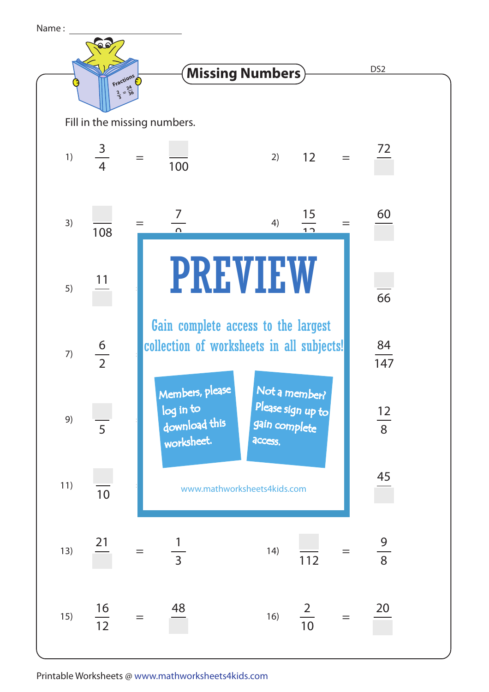